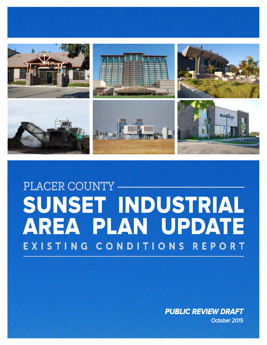

# PLACER COUNTY SUNSET INDUSTRIAL AREA PLAN UPDATE EXISTING CONDITIONS REPORT

*PUBLIC REVIEW DRAFT October 2015*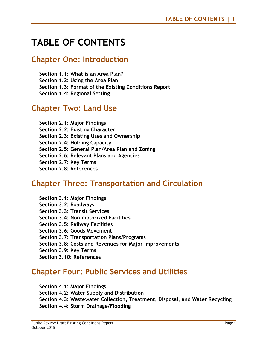## **TABLE OF CONTENTS**

## **Chapter One: Introduction**

**Section 1.1: What is an Area Plan?** 

**Section 1.2: Using the Area Plan** 

**Section 1.3: Format of the Existing Conditions Report** 

**Section 1.4: Regional Setting** 

## **Chapter Two: Land Use**

**Section 2.1: Major Findings Section 2.2: Existing Character Section 2.3: Existing Uses and Ownership Section 2.4: Holding Capacity Section 2.5: General Plan/Area Plan and Zoning Section 2.6: Relevant Plans and Agencies Section 2.7: Key Terms Section 2.8: References** 

## **Chapter Three: Transportation and Circulation**

**Section 3.1: Major Findings Section 3.2: Roadways Section 3.3: Transit Services Section 3.4: Non-motorized Facilities Section 3.5: Railway Facilities Section 3.6: Goods Movement Section 3.7: Transportation Plans/Programs Section 3.8: Costs and Revenues for Major Improvements Section 3.9: Key Terms** 

#### **Section 3.10: References**

## **Chapter Four: Public Services and Utilities**

**Section 4.1: Major Findings Section 4.2: Water Supply and Distribution Section 4.3: Wastewater Collection, Treatment, Disposal, and Water Recycling Section 4.4: Storm Drainage/Flooding**